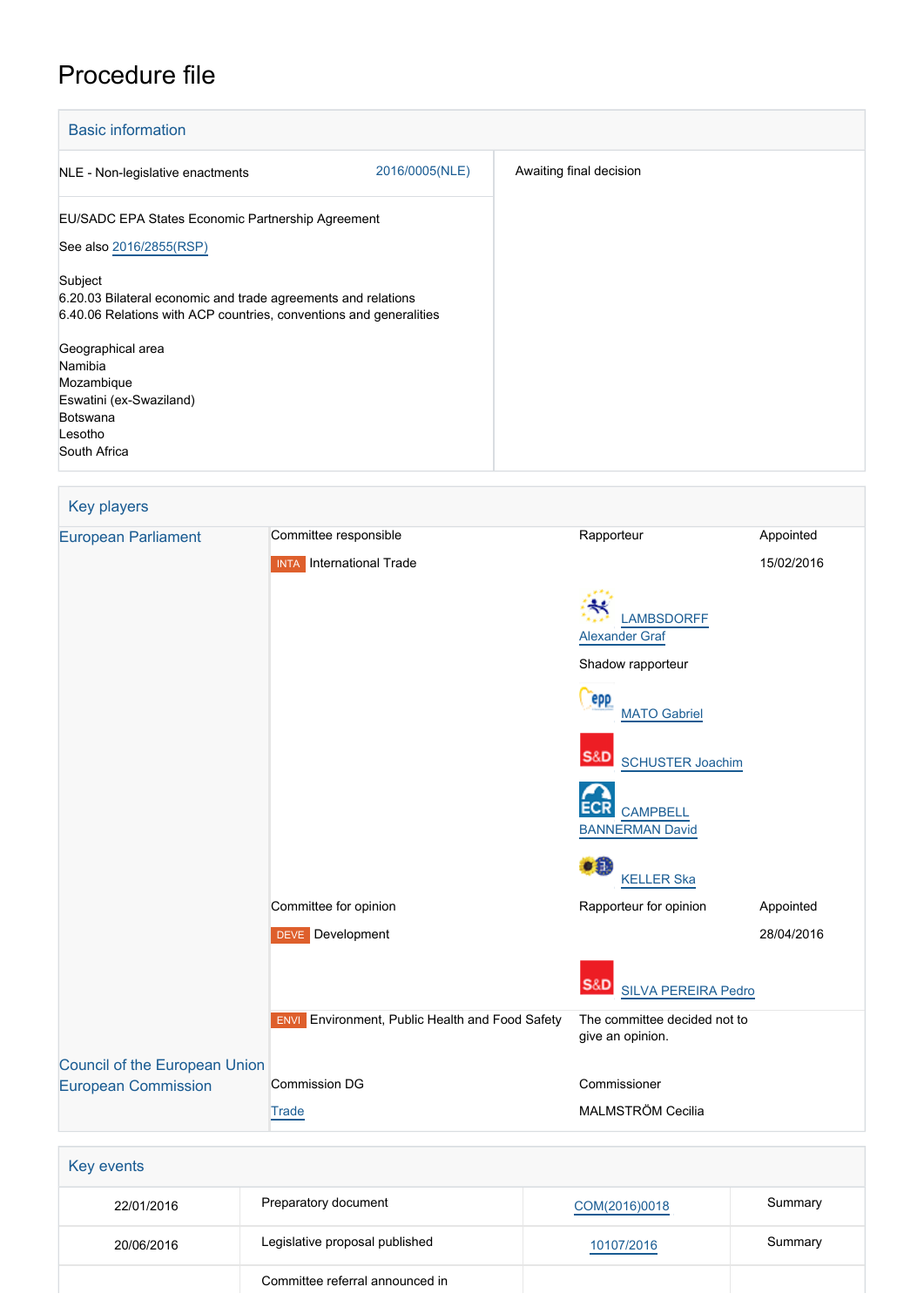## Procedure file

| <b>Basic information</b>                                                                                                                       |                         |
|------------------------------------------------------------------------------------------------------------------------------------------------|-------------------------|
| 2016/0005(NLE)<br>NLE - Non-legislative enactments                                                                                             | Awaiting final decision |
| EU/SADC EPA States Economic Partnership Agreement<br>See also 2016/2855(RSP)                                                                   |                         |
| Subject<br>6.20.03 Bilateral economic and trade agreements and relations<br>6.40.06 Relations with ACP countries, conventions and generalities |                         |
| Geographical area<br>Namibia<br>Mozambique<br>Eswatini (ex-Swaziland)<br>Botswana<br>Lesotho<br>South Africa                                   |                         |

| <b>Key players</b>                                                 |                                                        |                                              |            |
|--------------------------------------------------------------------|--------------------------------------------------------|----------------------------------------------|------------|
| <b>European Parliament</b>                                         | Committee responsible                                  | Rapporteur                                   | Appointed  |
|                                                                    | <b>INTA</b> International Trade                        |                                              | 15/02/2016 |
|                                                                    |                                                        | <b>LAMBSDORFF</b><br><b>Alexander Graf</b>   |            |
|                                                                    |                                                        | Shadow rapporteur                            |            |
|                                                                    |                                                        | <b>PPP</b><br><b>MATO Gabriel</b>            |            |
|                                                                    |                                                        | <b>S&amp;D</b> SCHUSTER Joachim              |            |
|                                                                    |                                                        | <b>CAMPBELL</b><br><b>BANNERMAN David</b>    |            |
|                                                                    |                                                        | ٥Ĥ<br><b>KELLER Ska</b>                      |            |
|                                                                    | Committee for opinion                                  | Rapporteur for opinion                       | Appointed  |
|                                                                    | <b>DEVE</b> Development                                |                                              | 28/04/2016 |
|                                                                    |                                                        | <b>S&amp;D</b><br><b>SILVA PEREIRA Pedro</b> |            |
|                                                                    | <b>ENVI</b> Environment, Public Health and Food Safety | The committee decided not to                 |            |
|                                                                    |                                                        | give an opinion.                             |            |
| <b>Council of the European Union</b><br><b>European Commission</b> | <b>Commission DG</b>                                   | Commissioner                                 |            |
|                                                                    | <b>Trade</b>                                           | MALMSTRÖM Cecilia                            |            |
|                                                                    |                                                        |                                              |            |
| Key events                                                         |                                                        |                                              |            |
|                                                                    |                                                        |                                              |            |

| 22/01/2016 | Preparatory document            | COM(2016)0018 | Summary |
|------------|---------------------------------|---------------|---------|
| 20/06/2016 | Legislative proposal published  | 10107/2016    | Summary |
|            | Committee referral announced in |               |         |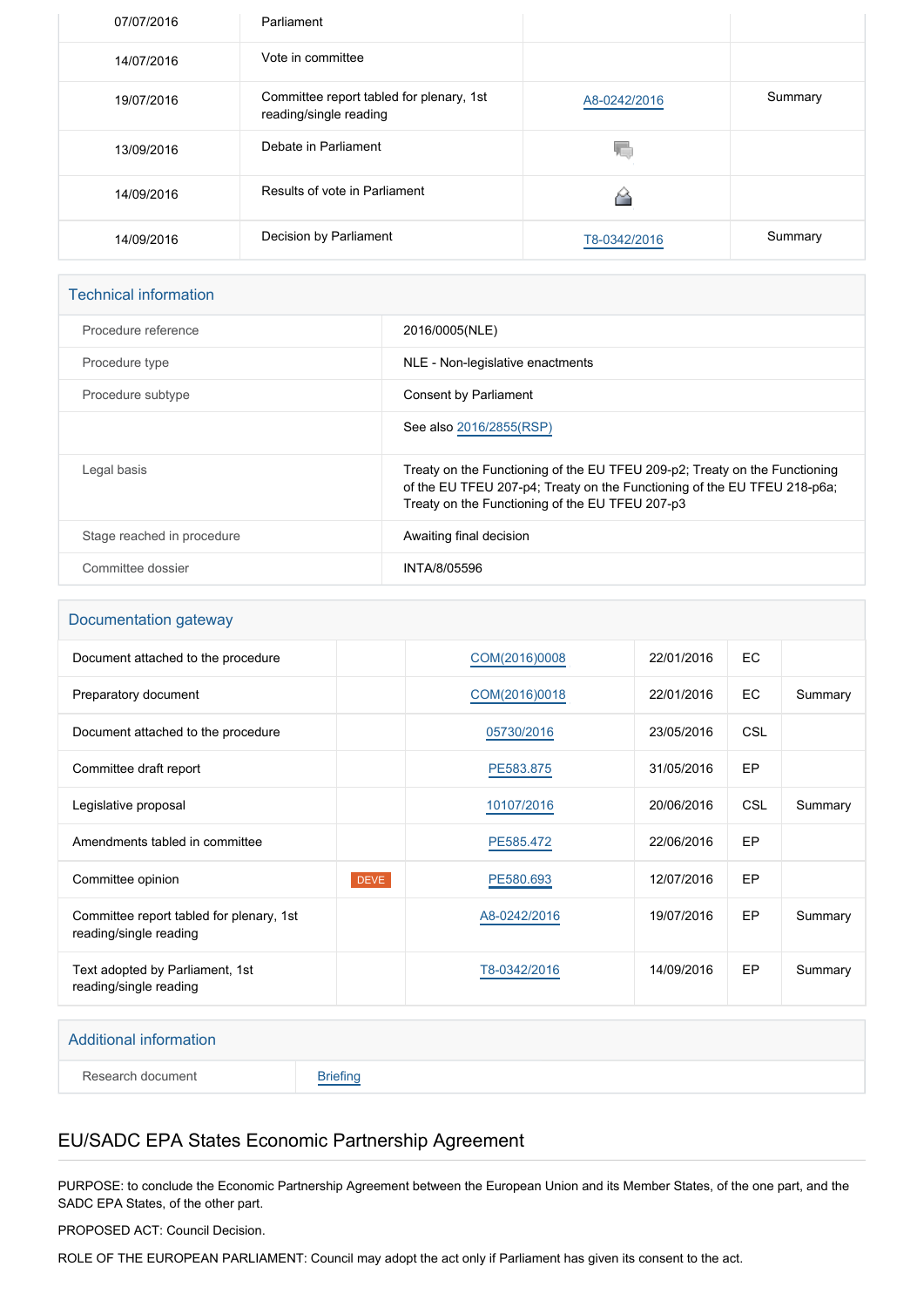| 07/07/2016 | Parliament                                                         |              |         |
|------------|--------------------------------------------------------------------|--------------|---------|
| 14/07/2016 | Vote in committee                                                  |              |         |
| 19/07/2016 | Committee report tabled for plenary, 1st<br>reading/single reading | A8-0242/2016 | Summary |
| 13/09/2016 | Debate in Parliament                                               |              |         |
| 14/09/2016 | Results of vote in Parliament                                      |              |         |
| 14/09/2016 | Decision by Parliament                                             | T8-0342/2016 | Summary |

#### Technical information

| Procedure reference        | 2016/0005(NLE)                                                                                                                                                                                            |
|----------------------------|-----------------------------------------------------------------------------------------------------------------------------------------------------------------------------------------------------------|
| Procedure type             | NLE - Non-legislative enactments                                                                                                                                                                          |
| Procedure subtype          | Consent by Parliament                                                                                                                                                                                     |
|                            | See also 2016/2855(RSP)                                                                                                                                                                                   |
| Legal basis                | Treaty on the Functioning of the EU TFEU 209-p2; Treaty on the Functioning<br>of the EU TFEU 207-p4; Treaty on the Functioning of the EU TFEU 218-p6a;<br>Treaty on the Functioning of the EU TFEU 207-p3 |
| Stage reached in procedure | Awaiting final decision                                                                                                                                                                                   |
| Committee dossier          | INTA/8/05596                                                                                                                                                                                              |

### Documentation gateway

| Document attached to the procedure                                 | COM(2016)0008 | 22/01/2016 | EC.        |         |
|--------------------------------------------------------------------|---------------|------------|------------|---------|
| Preparatory document                                               | COM(2016)0018 | 22/01/2016 | EC.        | Summary |
| Document attached to the procedure                                 | 05730/2016    | 23/05/2016 | <b>CSL</b> |         |
| Committee draft report                                             | PE583.875     | 31/05/2016 | EP         |         |
| Legislative proposal                                               | 10107/2016    | 20/06/2016 | <b>CSL</b> | Summary |
| Amendments tabled in committee                                     | PE585.472     | 22/06/2016 | EP         |         |
| Committee opinion<br><b>DEVE</b>                                   | PE580.693     | 12/07/2016 | EP         |         |
| Committee report tabled for plenary, 1st<br>reading/single reading | A8-0242/2016  | 19/07/2016 | EP         | Summary |
| Text adopted by Parliament, 1st<br>reading/single reading          | T8-0342/2016  | 14/09/2016 | EP         | Summary |

# Additional information Research document [Briefing](http://www.europarl.europa.eu/thinktank/en/document.html?reference=EPRS_BRI(2016)586661)

## EU/SADC EPA States Economic Partnership Agreement

PURPOSE: to conclude the Economic Partnership Agreement between the European Union and its Member States, of the one part, and the SADC EPA States, of the other part.

PROPOSED ACT: Council Decision.

ROLE OF THE EUROPEAN PARLIAMENT: Council may adopt the act only if Parliament has given its consent to the act.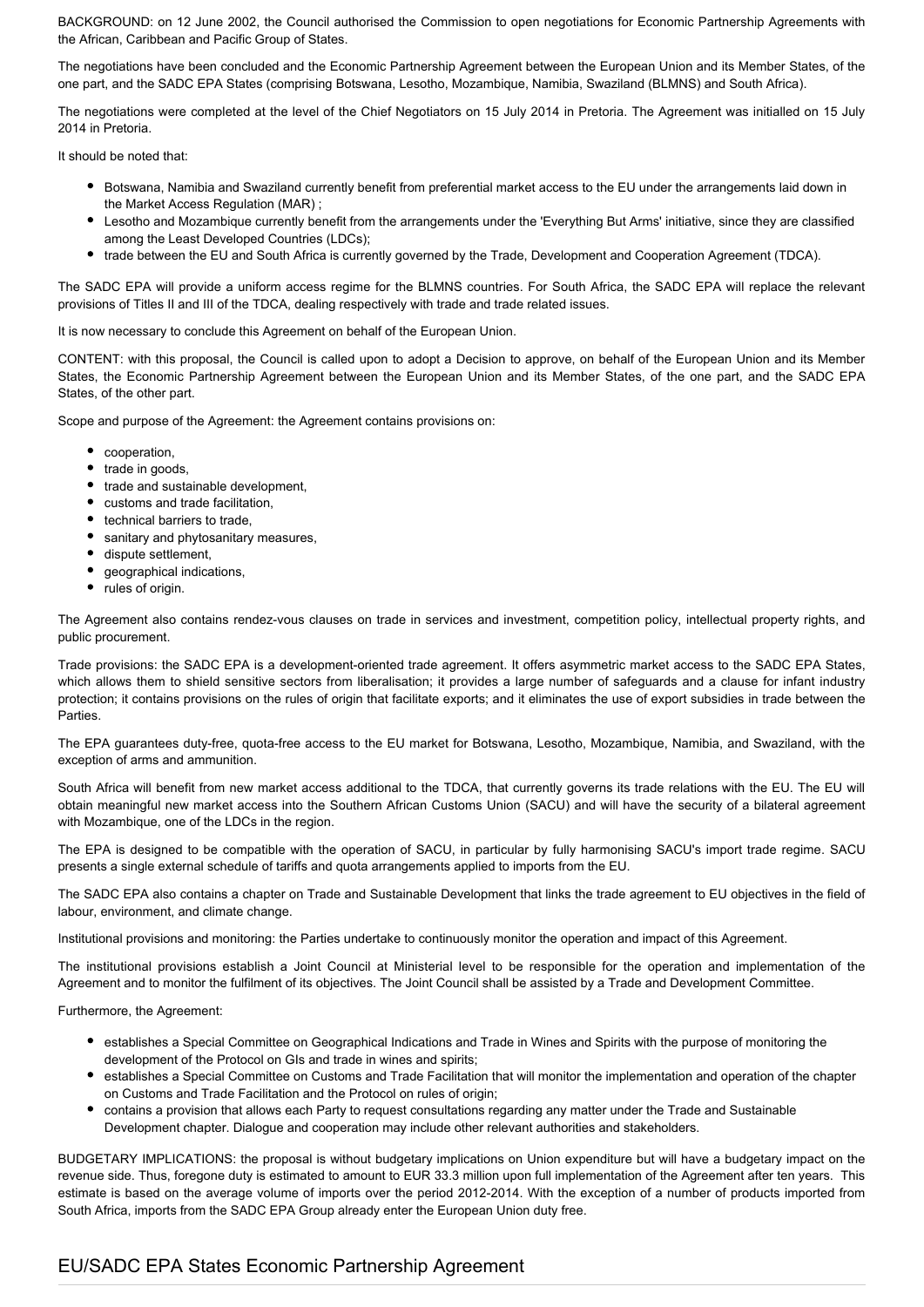BACKGROUND: on 12 June 2002, the Council authorised the Commission to open negotiations for Economic Partnership Agreements with the African, Caribbean and Pacific Group of States.

The negotiations have been concluded and the Economic Partnership Agreement between the European Union and its Member States, of the one part, and the SADC EPA States (comprising Botswana, Lesotho, Mozambique, Namibia, Swaziland (BLMNS) and South Africa).

The negotiations were completed at the level of the Chief Negotiators on 15 July 2014 in Pretoria. The Agreement was initialled on 15 July 2014 in Pretoria.

It should be noted that:

- Botswana, Namibia and Swaziland currently benefit from preferential market access to the EU under the arrangements laid down in the Market Access Regulation (MAR) ;
- Lesotho and Mozambique currently benefit from the arrangements under the 'Everything But Arms' initiative, since they are classified among the Least Developed Countries (LDCs);
- trade between the EU and South Africa is currently governed by the Trade, Development and Cooperation Agreement (TDCA).

The SADC EPA will provide a uniform access regime for the BLMNS countries. For South Africa, the SADC EPA will replace the relevant provisions of Titles II and III of the TDCA, dealing respectively with trade and trade related issues.

It is now necessary to conclude this Agreement on behalf of the European Union.

CONTENT: with this proposal, the Council is called upon to adopt a Decision to approve, on behalf of the European Union and its Member States, the Economic Partnership Agreement between the European Union and its Member States, of the one part, and the SADC EPA States, of the other part.

Scope and purpose of the Agreement: the Agreement contains provisions on:

- cooperation.
- trade in goods,
- trade and sustainable development,
- customs and trade facilitation.
- technical barriers to trade,
- sanitary and phytosanitary measures,
- dispute settlement,
- $\bullet$ geographical indications,
- rules of origin.

The Agreement also contains rendez-vous clauses on trade in services and investment, competition policy, intellectual property rights, and public procurement.

Trade provisions: the SADC EPA is a development-oriented trade agreement. It offers asymmetric market access to the SADC EPA States, which allows them to shield sensitive sectors from liberalisation; it provides a large number of safeguards and a clause for infant industry protection; it contains provisions on the rules of origin that facilitate exports; and it eliminates the use of export subsidies in trade between the Parties.

The EPA guarantees duty-free, quota-free access to the EU market for Botswana, Lesotho, Mozambique, Namibia, and Swaziland, with the exception of arms and ammunition.

South Africa will benefit from new market access additional to the TDCA, that currently governs its trade relations with the EU. The EU will obtain meaningful new market access into the Southern African Customs Union (SACU) and will have the security of a bilateral agreement with Mozambique, one of the LDCs in the region.

The EPA is designed to be compatible with the operation of SACU, in particular by fully harmonising SACU's import trade regime. SACU presents a single external schedule of tariffs and quota arrangements applied to imports from the EU.

The SADC EPA also contains a chapter on Trade and Sustainable Development that links the trade agreement to EU objectives in the field of labour, environment, and climate change.

Institutional provisions and monitoring: the Parties undertake to continuously monitor the operation and impact of this Agreement.

The institutional provisions establish a Joint Council at Ministerial level to be responsible for the operation and implementation of the Agreement and to monitor the fulfilment of its objectives. The Joint Council shall be assisted by a Trade and Development Committee.

Furthermore, the Agreement:

- establishes a Special Committee on Geographical Indications and Trade in Wines and Spirits with the purpose of monitoring the development of the Protocol on GIs and trade in wines and spirits;
- **establishes a Special Committee on Customs and Trade Facilitation that will monitor the implementation and operation of the chapter** on Customs and Trade Facilitation and the Protocol on rules of origin;
- contains a provision that allows each Party to request consultations regarding any matter under the Trade and Sustainable Development chapter. Dialogue and cooperation may include other relevant authorities and stakeholders.

BUDGETARY IMPLICATIONS: the proposal is without budgetary implications on Union expenditure but will have a budgetary impact on the revenue side. Thus, foregone duty is estimated to amount to EUR 33.3 million upon full implementation of the Agreement after ten years. This estimate is based on the average volume of imports over the period 2012-2014. With the exception of a number of products imported from South Africa, imports from the SADC EPA Group already enter the European Union duty free.

## EU/SADC EPA States Economic Partnership Agreement